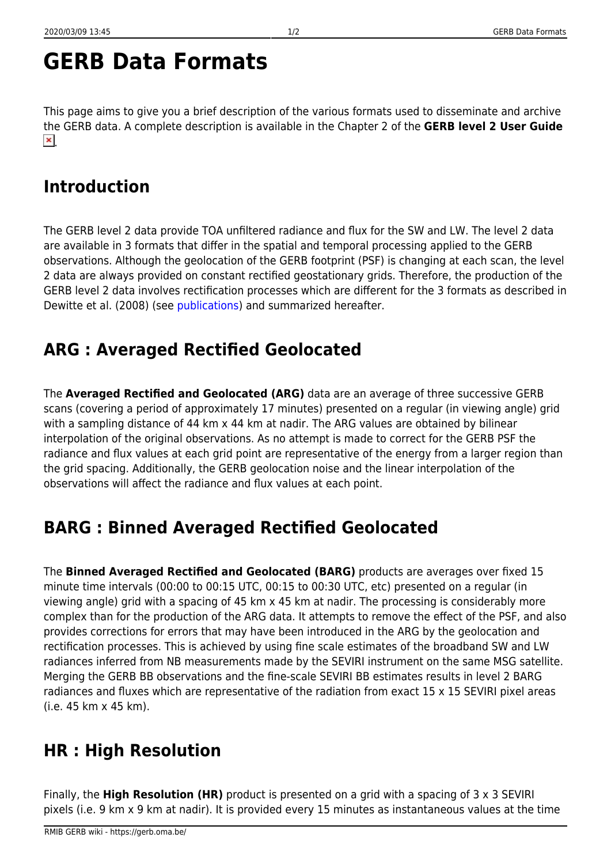# **GERB Data Formats**

This page aims to give you a brief description of the various formats used to disseminate and archive the GERB data. A complete description is available in the Chapter 2 of the **GERB level 2 User Guide**  $\pmb{\times}$ 

#### **Introduction**

The GERB level 2 data provide TOA unfiltered radiance and flux for the SW and LW. The level 2 data are available in 3 formats that differ in the spatial and temporal processing applied to the GERB observations. Although the geolocation of the GERB footprint (PSF) is changing at each scan, the level 2 data are always provided on constant rectified geostationary grids. Therefore, the production of the GERB level 2 data involves rectification processes which are different for the 3 formats as described in Dewitte et al. (2008) (see [publications\)](https://gerb.oma.be/doku.php?id=publications) and summarized hereafter.

## **ARG : Averaged Rectified Geolocated**

The **Averaged Rectified and Geolocated (ARG)** data are an average of three successive GERB scans (covering a period of approximately 17 minutes) presented on a regular (in viewing angle) grid with a sampling distance of 44 km x 44 km at nadir. The ARG values are obtained by bilinear interpolation of the original observations. As no attempt is made to correct for the GERB PSF the radiance and flux values at each grid point are representative of the energy from a larger region than the grid spacing. Additionally, the GERB geolocation noise and the linear interpolation of the observations will affect the radiance and flux values at each point.

## **BARG : Binned Averaged Rectified Geolocated**

The **Binned Averaged Rectified and Geolocated (BARG)** products are averages over fixed 15 minute time intervals (00:00 to 00:15 UTC, 00:15 to 00:30 UTC, etc) presented on a regular (in viewing angle) grid with a spacing of 45 km x 45 km at nadir. The processing is considerably more complex than for the production of the ARG data. It attempts to remove the effect of the PSF, and also provides corrections for errors that may have been introduced in the ARG by the geolocation and rectification processes. This is achieved by using fine scale estimates of the broadband SW and LW radiances inferred from NB measurements made by the SEVIRI instrument on the same MSG satellite. Merging the GERB BB observations and the fine-scale SEVIRI BB estimates results in level 2 BARG radiances and fluxes which are representative of the radiation from exact 15 x 15 SEVIRI pixel areas (i.e. 45 km x 45 km).

## **HR : High Resolution**

Finally, the **High Resolution (HR)** product is presented on a grid with a spacing of 3 x 3 SEVIRI pixels (i.e. 9 km x 9 km at nadir). It is provided every 15 minutes as instantaneous values at the time